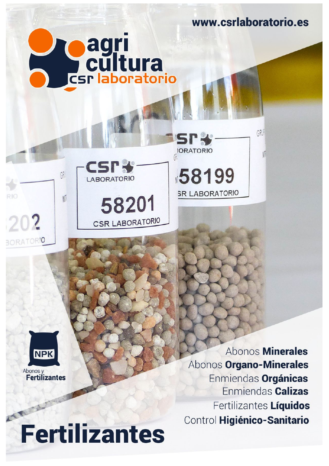www.csrlaboratorio.es

GRU

**LABORATORIO** 

58201

**CSR LABORATORIO** 

 $GP$ 

 $\sqrt{2}$ 

RIO

202

BORATORIO

**e agri<br>Ecultura<br>Esclaboratorio** 

58199 **SR LABORATORIO** 

L.

**IORATORIO** 



ARIT **Fertilizantes** 

Abonos **Minerales** Abonos Organo-Minerales Enmiendas Orgánicas Enmiendas Calizas Fertilizantes Líquidos Control Higiénico-Sanitario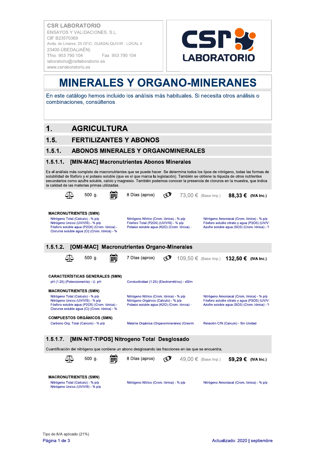

### **MINERALES Y ORGANO-MINERANES**

En este catálogo hemos incluido los análisis más habituales. Si necesita otros análisis o combinaciones, consúltenos.

### $\mathbf 1$ **AGRICULTURA**

### $1.5.$ **FERTILIZANTES Y ABONOS**

#### **ABONOS MINERALES Y ORGANOMINERALES**  $1.5.1.$

#### $1.5.1.1.$ [MIN-MAC] Macronutrientes Abonos Minerales

Es el análisis más completo de macronutrientes que se puede hacer. Se determina todos los tipos de nitrógeno, todas las formas de solubilidad de fósforo y el potasio soluble (que es el que marca la legislación). También se obtiene la riqueza de otros nutrientes secundarios como azufre soluble, calcio y magnesio. También podemos conocer la presencia de cloruros en la muestra, que indica la calidad de las materias primas utilizadas.

| $500$ g.                                                                                                                                                                                                | $\circledcirc$<br>8 Días (aprox)<br>73,00 € (Base Imp.) 88,33 € (IVA Inc.)                                                                                                                                                                                                     |
|---------------------------------------------------------------------------------------------------------------------------------------------------------------------------------------------------------|--------------------------------------------------------------------------------------------------------------------------------------------------------------------------------------------------------------------------------------------------------------------------------|
| <b>MACRONUTRIENTES (SMN)</b><br>Nitrógeno Total (Calculo) - % p/p<br>Nitrógeno Ureico (UV/VIS) - % p/p<br>Fósforo soluble agua (P2O5) (Crom. Iónica) -<br>Cloruros soluble agua (CI) (Crom. Iónica) - % | Nitrógeno Nítrico (Crom. Iónica) - % p/p<br>Nitrógeno Amoniacal (Crom. Iónica) - % p/p<br>Fósforo Total (P2O5) (UV/VIS) - % p/p<br>Fósforo soluble citrato y agua (P2O5) (UV/VI<br>Azufre soluble agua (SO3) (Crom. Iónica) - 9<br>Potasio soluble agua (K2O) (Crom. Iónica) - |
| 1.5.1.2.                                                                                                                                                                                                | [OMI-MAC] Macronutrientes Organo-Minerales                                                                                                                                                                                                                                     |
| 500 g.<br>∆∆                                                                                                                                                                                            | 7 Días (aprox)<br>$\bigcirc$<br>109,50 € (Base Imp.) 132,50 € (IVA Inc.)                                                                                                                                                                                                       |
| <b>CARACTERÍSTICAS GENERALES (SMN)</b><br>pH (1:25) (Potenciometría) - U. pH                                                                                                                            | Conductividad (1:25) (Electrométrico) - dS/m                                                                                                                                                                                                                                   |
| <b>MACRONUTRIENTES (SMN)</b><br>Nitrógeno Total (Calculo) - % p/p<br>Nitrógeno Ureico (UV/VIS) - % p/p<br>Fósforo soluble agua (P2O5) (Crom. Iónica) -<br>Cloruros soluble agua (CI) (Crom. Iónica) - % | Nitrógeno Nítrico (Crom. Iónica) - % p/p<br>Nitrógeno Amoniacal (Crom. Iónica) - % p/p<br>Nitrógeno Orgánico (Calculo) - % p/p<br>Fósforo soluble citrato y agua (P2O5) (UV/VI<br>Potasio soluble agua (K2O) (Crom. Iónica) -<br>Azufre soluble agua (SO3) (Crom. Iónica) - 9  |
| <b>COMPUESTOS ORGÁNICOS (SMN)</b><br>Carbono Org. Total (Calculo) - % p/p                                                                                                                               | Materia Orgánica (Organominerales) (Gravim<br>Relación C/N (Calculo) - Sin Unidad                                                                                                                                                                                              |
| 1.5.1.7.                                                                                                                                                                                                | [MIN-NIT-TIPOS] Nitrogeno Total Desglosado<br>Cuantificación del nitrógeno que contiene un abono desglosando las fracciones en las que se encuentra.                                                                                                                           |
| $500$ g.                                                                                                                                                                                                | 8 Días (aprox)<br>Ø<br>$49.00 \in$ (Base Imp.)<br>59,29 € (IVA Inc.)                                                                                                                                                                                                           |
| <b>MACRONUTRIENTES (SMN)</b><br>Nitrógeno Total (Calculo) - % p/p<br>Nitrógeno Ureico (UV/VIS) - % p/p                                                                                                  | Nitrógeno Nítrico (Crom. Iónica) - % p/p<br>Nitrógeno Amoniacal (Crom. Iónica) - % p/p                                                                                                                                                                                         |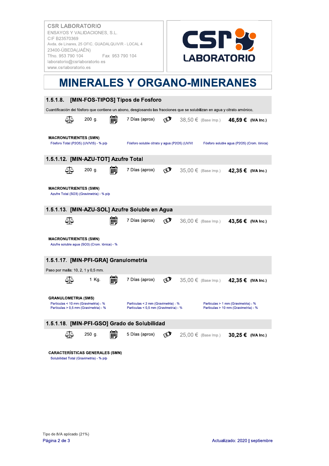

### **MINERALES Y ORGANO-MINERANES**

| 1.5.1.8.<br>[MIN-FOS-TIPOS] Tipos de Fosforo                                                                               |                                                                              |            |                                                                             |                                            |
|----------------------------------------------------------------------------------------------------------------------------|------------------------------------------------------------------------------|------------|-----------------------------------------------------------------------------|--------------------------------------------|
| Cuantificación del fósforo que contiene un abono, desglosando las fracciones que se solubilizan en agua y citrato amónico. |                                                                              |            |                                                                             |                                            |
| ∆∆<br>$200$ g.                                                                                                             | 7 Días (aprox)                                                               | E)         | 38,50 € (Base Imp.) 46,59 € (IVA Inc.)                                      |                                            |
| <b>MACRONUTRIENTES (SMN)</b><br>Fósforo Total (P2O5) (UV/VIS) - % p/p                                                      | Fósforo soluble citrato y agua (P2O5) (UV/VI                                 |            |                                                                             | Fósforo soluble agua (P2O5) (Crom. Iónica) |
| 1.5.1.12. [MIN-AZU-TOT] Azufre Total                                                                                       |                                                                              |            |                                                                             |                                            |
| $200$ g.<br>∆ا∆<br>HH                                                                                                      | 7 Días (aprox)                                                               | $\odot$    | 35,00 € (Base Imp.) 42,35 € (IVA Inc.)                                      |                                            |
| <b>MACRONUTRIENTES (SMN)</b><br>Azufre Total (SO3) (Gravimetria) - % p/p                                                   |                                                                              |            |                                                                             |                                            |
| 1.5.1.13. [MIN-AZU-SOL] Azufre Soluble en Agua                                                                             |                                                                              |            |                                                                             |                                            |
| ∆∣∆                                                                                                                        | 7 Días (aprox)                                                               | C          | 36,00 € (Base Imp.) 43,56 € (IVA Inc.)                                      |                                            |
| <b>MACRONUTRIENTES (SMN)</b><br>Azufre soluble agua (SO3) (Crom. Iónica) - %                                               |                                                                              |            |                                                                             |                                            |
| 1.5.1.17. [MIN-PFI-GRA] Granulometría                                                                                      |                                                                              |            |                                                                             |                                            |
| Paso por malla: 10, 2, 1 y 0,5 mm.                                                                                         |                                                                              |            |                                                                             |                                            |
| 1 Kg.                                                                                                                      | 7 Días (aprox)                                                               | $\bigcirc$ | 35,00 € (Base Imp.) 42,35 € (IVA Inc.)                                      |                                            |
| <b>GRANULOMETRIA (SMS)</b><br>Particulas < 10 mm (Gravimetria) - %<br>Particulas > 0,5 mm (Gravimetria) - %                | Particulas < 2 mm (Gravimetria) - %<br>Particulas < 0,5 mm (Gravimetria) - % |            | Particulas > 1 mm (Gravimetria) - %<br>Particulas > 10 mm (Gravimetria) - % |                                            |
| 1.5.1.18. [MIN-PFI-GSO] Grado de Solubilidad                                                                               |                                                                              |            |                                                                             |                                            |
| $250$ g.<br>前                                                                                                              | 5 Días (aprox)                                                               | $\bigcirc$ | 25,00 € (Base Imp.) 30,25 € (IVA Inc.)                                      |                                            |
| <b>CARACTERÍSTICAS GENERALES (SMN)</b><br>Solubilidad Total (Gravimetria) - % p/p                                          |                                                                              |            |                                                                             |                                            |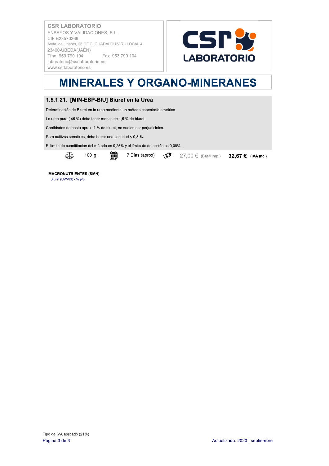

# **MINERALES Y ORGANO-MINERANES**

### 1.5.1.21. [MIN-ESP-BIU] Biuret en la Urea

Determinación de Biuret en la urea mediante un método espectrofotométrico.

La urea pura (46 %) debe tener menos de 1,5 % de biuret.

Cantidades de hasta aprox. 1 % de biuret, no suelen ser perjudiciales.

Para cultivos sensibles, debe haber una cantidad < 0,3 %.

El límite de cuantifiación del método es 0,25% y el límite de detección es 0,08%.



論  $100 g.$ 

7 Días (aprox)  $\bullet$  27,00 € (Base Imp.) 32,67 € (IVA Inc.)

**MACRONUTRIENTES (SMN)** Biuret (UV/VIS) - % p/p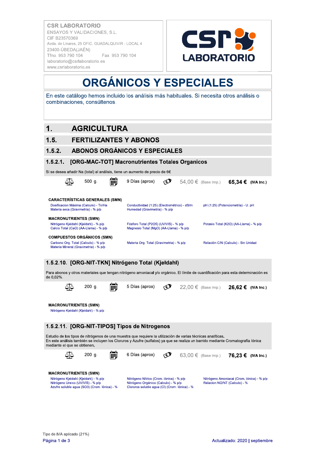

### **ORGÁNICOS Y ESPECIALES**

En este catálogo hemos incluido los análisis más habituales. Si necesita otros análisis o combinaciones, consúltenos.

### **AGRICULTURA**  $\mathbf 1$

### $1.5.$ **FERTILIZANTES Y ABONOS**

#### ABONOS ORGÁNICOS Y ESPECIALES  $1.5.2.$

#### $1.5.2.1.$ **IORG-MAC-TOTI Macronutrientes Totales Organicos**

Si se desea añadir Na (total) al análisis, tiene un aumento de precio de 6€



Para abonos y otros materiales que tengan nitrógeno amoniacal y/o orgánico. El límite de cuantificación para esta determinación es de 0,02%



**MACRONUTRIENTES (SMN)** 

Nitrógeno Kjeldahl (Kjeldahl) - % p/p

### 1.5.2.11. [ORG-NIT-TIPOS] Tipos de Nitrogenos

Estudio de los tipos de nitrógenos de una muestra que requiere la utilización de varias técnicas analíticas. En este análisis también se incluyen los Cloruros y Azufre (sulfatos) ya que se realiza un barrido mediante Cromatografía lónica mediante el que se obtienen.



倫 6 Días (aprox)

 $\bigcirc$  $63.00 \in$  (Base Imp.)

76.23 € (IVA Inc.)



Nitrógeno Nítrico (Crom. Iónica) - % p/p Nitrógeno Orgánico (Calculo) - % p/p<br>Cloruros soluble agua (CI) (Crom. lónica) - %

Nitrógeno Amoniacal (Crom. Iónica) - % p/p Relacion NO/NT (Calculo) - %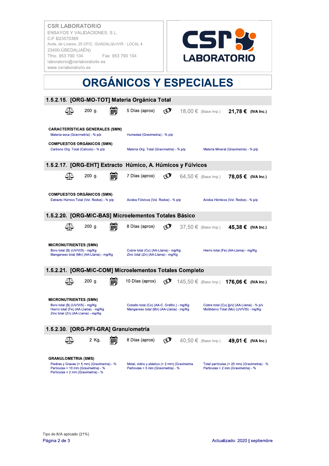

## **ORGÁNICOS Y ESPECIALES**

| 1.5.2.15. [ORG-MO-TOT] Materia Orgánica Total                                                                                                            |          |                                                                                        |            |                                                                                     |                    |  |
|----------------------------------------------------------------------------------------------------------------------------------------------------------|----------|----------------------------------------------------------------------------------------|------------|-------------------------------------------------------------------------------------|--------------------|--|
|                                                                                                                                                          | $200$ g. | 5 Días (aprox)                                                                         | لأباكم     | 18,00 € (Base Imp.) 21,78 € (IVA Inc.)                                              |                    |  |
| <b>CARACTERISTICAS GENERALES (SMN)</b><br>Materia seca (Gravimetria) - % p/p                                                                             |          | Humedad (Gravimetria) - % p/p                                                          |            |                                                                                     |                    |  |
| <b>COMPUESTOS ORGÁNICOS (SMN)</b><br>Carbono Org. Total (Calculo) - % p/p                                                                                |          | Materia Org. Total (Gravimetria) - % p/p                                               |            | Materia Mineral (Gravimetria) - % p/p                                               |                    |  |
| 1.5.2.17. [ORG-EHT] Extracto Húmico, A. Húmicos y Fúlvicos                                                                                               |          |                                                                                        |            |                                                                                     |                    |  |
|                                                                                                                                                          | 200 g.   | 7 Días (aprox)                                                                         | ∢ຍ         | $64.50 \in$ (Base Imp.)                                                             | 78.05 € (IVA Inc.) |  |
| <b>COMPUESTOS ORGÁNICOS (SMN)</b><br>Extracto Húmico Total (Vol. Redox) - % p/p                                                                          |          | Acidos Fúlvicos (Vol. Redox) - % p/p                                                   |            | Acidos Húmicos (Vol. Redox) - % p/p                                                 |                    |  |
| 1.5.2.20. [ORG-MIC-BAS] Microelementos Totales Básico                                                                                                    |          |                                                                                        |            |                                                                                     |                    |  |
|                                                                                                                                                          | 200 g.   | 8 Días (aprox)                                                                         | لأعج       | 37,50 € (Base Imp.) 45,38 € (IVA Inc.)                                              |                    |  |
| <b>MICRONUTRIENTES (SMN)</b><br>Boro total (B) (UV/VIS) - mg/Kg<br>Manganeso total (Mn) (AA-Llama) - mg/Kg                                               |          | Cobre total (Cu) (AA-Llama) - mg/Kg<br>Zinc total (Zn) (AA-Llama) - mg/Kg              |            | Hierro total (Fe) (AA-Llama) - mg/Kg                                                |                    |  |
| 1.5.2.21. [ORG-MIC-COM] Microelementos Totales Completo                                                                                                  |          |                                                                                        |            |                                                                                     |                    |  |
|                                                                                                                                                          | 200 g.   | 10 Días (aprox)                                                                        | لأعجا      | 145,50 € (Base Imp.) 176,06 € (IVA Inc.)                                            |                    |  |
| <b>MICRONUTRIENTES (SMN)</b><br>Boro total (B) (UV/VIS) - mg/Kg<br>Hierro total (Fe) (AA-Llama) - mg/Kg<br>Zinc total (Zn) (AA-Llama) - mg/Kg            |          | Cobalto total (Co) (AA-C. Grafito.) - mg/Kg<br>Manganeso total (Mn) (AA-Llama) - mg/Kg |            | Cobre total (Cu) [p/v] (AA-Llama) - % p/v<br>Molibdeno Total (Mo) (UV/VIS) - mg/Kg  |                    |  |
| 1.5.2.30. [ORG-PFI-GRA] Granulometría                                                                                                                    |          |                                                                                        |            |                                                                                     |                    |  |
|                                                                                                                                                          | 2 Kg.    | 8 Días (aprox)                                                                         | $\bigcirc$ | 40,50 € (Base Imp.) 49,01 € (IVA Inc.)                                              |                    |  |
| <b>GRANULOMETRIA (SMS)</b><br>Piedras y Gravas (> 5 mm) (Gravimetria) - %<br>Particulas > 10 mm (Gravimetria) - %<br>Particulas < 2 mm (Gravimetria) - % |          | Metal, vidrio y plástico (> 2 mm) (Gravimetria<br>Particulas > 5 mm (Gravimetria) - %  |            | Total partículas (> 25 mm) (Gravimetria) - %<br>Particulas > 2 mm (Gravimetria) - % |                    |  |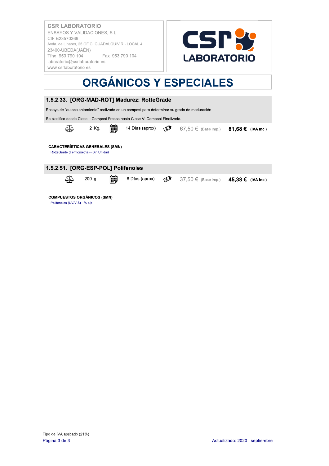

# **ORGÁNICOS Y ESPECIALES**



Polifenoles (UV/VIS) - % p/p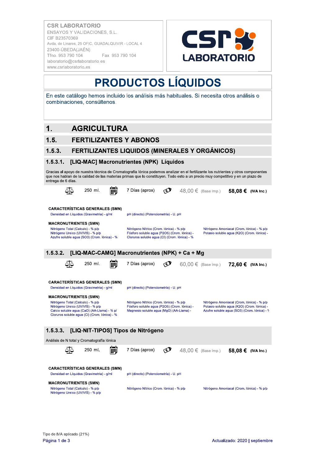

# **PRODUCTOS LÍQUIDOS**

En este catálogo hemos incluido los análisis más habituales. Si necesita otros análisis o combinaciones, consúltenos.

### $\mathbf 1$ **AGRICULTURA**

### $1.5.$ **FERTILIZANTES Y ABONOS**

#### FERTILIZANTES LIQUIDOS (MINERALES Y ORGÁNICOS)  $1.5.3.$

#### $1.5.3.1.$ [LIQ-MAC] Macronutrientes (NPK) Líquidos

Gracias al apoyo de nuestra técnica de Cromatografía lónica podemos analizar en el fertilizante los nutrientes y otros componentes que nos hablan de la calidad de las materias primas que lo constituyen. Todo esto a un precio muy competitivo y en un plazo de entrega de 6 días

| 250 ml.                                                                                                                                                                                                | 7 Días (aprox)                                                                                                                            | 48,00 € (Base Imp.)<br>58,08 € (IVA Inc.)                                                                                                 |
|--------------------------------------------------------------------------------------------------------------------------------------------------------------------------------------------------------|-------------------------------------------------------------------------------------------------------------------------------------------|-------------------------------------------------------------------------------------------------------------------------------------------|
| <b>CARACTERÍSTICAS GENERALES (SMN)</b><br>Densidad en Líquidos (Gravimetria) - g/ml                                                                                                                    | pH (directo) (Potenciometría) - U. pH                                                                                                     |                                                                                                                                           |
| <b>MACRONUTRIENTES (SMN)</b>                                                                                                                                                                           |                                                                                                                                           |                                                                                                                                           |
| Nitrógeno Total (Calculo) - % p/p<br>Nitrógeno Ureico (UV/VIS) - % p/p<br>Azufre soluble agua (SO3) (Crom. Iónica) - %                                                                                 | Nitrógeno Nítrico (Crom. Iónica) - % p/p<br>Fósforo soluble agua (P2O5) (Crom. Iónica) -<br>Cloruros soluble agua (CI) (Crom. Iónica) - % | Nitrógeno Amoniacal (Crom. Iónica) - % p/p<br>Potasio soluble agua (K2O) (Crom. Iónica) -                                                 |
| 1.5.3.2.                                                                                                                                                                                               | [LIQ-MAC-CAMG] Macronutrientes (NPK) + Ca + Mg                                                                                            |                                                                                                                                           |
| 250 ml.                                                                                                                                                                                                | 7 Días (aprox)                                                                                                                            | $60,00 \in$ (Base Imp.)<br>72,60 € (IVA Inc.)                                                                                             |
| <b>CARACTERÍSTICAS GENERALES (SMN)</b>                                                                                                                                                                 |                                                                                                                                           |                                                                                                                                           |
| Densidad en Líquidos (Gravimetria) - g/ml                                                                                                                                                              | pH (directo) (Potenciometría) - U. pH                                                                                                     |                                                                                                                                           |
|                                                                                                                                                                                                        |                                                                                                                                           |                                                                                                                                           |
| <b>MACRONUTRIENTES (SMN)</b><br>Nitrógeno Total (Calculo) - % p/p<br>Nitrógeno Ureico (UV/VIS) - % p/p<br>Calcio soluble agua (CaO) (AA-Llama) - % p/<br>Cloruros soluble agua (CI) (Crom. Iónica) - % | Nitrógeno Nítrico (Crom. Iónica) - % p/p<br>Fósforo soluble agua (P2O5) (Crom. Iónica) -<br>Magnesio soluble agua (MgO) (AA-Llama) -      | Nitrógeno Amoniacal (Crom. Iónica) - % p/p<br>Potasio soluble agua (K2O) (Crom. Iónica) -<br>Azufre soluble agua (SO3) (Crom. Iónica) - 9 |
| [LIQ-NIT-TIPOS] Tipos de Nitrógeno<br>1.5.3.3.                                                                                                                                                         |                                                                                                                                           |                                                                                                                                           |
| Análisis de N total y Cromatografía lónica                                                                                                                                                             |                                                                                                                                           |                                                                                                                                           |
| 250 ml.                                                                                                                                                                                                | 7 Días (aprox)<br>لاع                                                                                                                     | $48,00 \in$ (Base Imp.)<br>58,08 € (IVA Inc.)                                                                                             |
| <b>CARACTERÍSTICAS GENERALES (SMN)</b><br>Densidad en Líquidos (Gravimetria) - g/ml                                                                                                                    | pH (directo) (Potenciometría) - U. pH                                                                                                     |                                                                                                                                           |
| <b>MACRONUTRIENTES (SMN)</b><br>Nitrógeno Total (Calculo) - % p/p<br>Nitrógeno Ureico (UV/VIS) - % p/p                                                                                                 | Nitrógeno Nítrico (Crom. Iónica) - % p/p                                                                                                  | Nitrógeno Amoniacal (Crom. Iónica) - % p/p                                                                                                |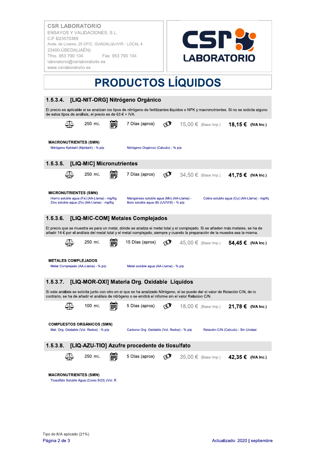

# **PRODUCTOS LÍQUIDOS**

| 1.5.3.4.                     |    |                                                                                          | [LIQ-NIT-ORG] Nitrógeno Orgánico                                                                                                                                                                                                                                 |            |                                            |  |
|------------------------------|----|------------------------------------------------------------------------------------------|------------------------------------------------------------------------------------------------------------------------------------------------------------------------------------------------------------------------------------------------------------------|------------|--------------------------------------------|--|
|                              |    | de estos tipos de análisis, el precio es de 63 € + IVA.                                  | El precio es aplicable si se analizan los tipos de nitrógeno de fertilizantes líquidos o NPK y macronutrientes. Si no se solicita alguno                                                                                                                         |            |                                            |  |
|                              |    | 250 ml.                                                                                  | 7 Días (aprox)                                                                                                                                                                                                                                                   | $\bigcirc$ | 15,00 € (Base Imp.) 18,15 € (IVA Inc.)     |  |
| <b>MACRONUTRIENTES (SMN)</b> |    |                                                                                          |                                                                                                                                                                                                                                                                  |            |                                            |  |
|                              |    | Nitrógeno Kieldahl (Kieldahl) - % p/p                                                    | Nitrógeno Orgánico (Calculo) - % p/p                                                                                                                                                                                                                             |            |                                            |  |
| 1.5.3.5.                     |    | [LIQ-MIC] Micronutrientes                                                                |                                                                                                                                                                                                                                                                  |            |                                            |  |
|                              |    | 250 ml.                                                                                  | 7 Días (aprox)                                                                                                                                                                                                                                                   |            | $34,50 \in$ (Base Imp.) 41,75 € (IVA Inc.) |  |
| <b>MICRONUTRIENTES (SMN)</b> |    |                                                                                          |                                                                                                                                                                                                                                                                  |            |                                            |  |
|                              |    | Hierro soluble agua (Fe) (AA-Llama) - mg/Kg<br>Zinc soluble agua (Zn) (AA-Llama) - mg/Kg | Manganeso soluble agua (Mn) (AA-Llama) -<br>Boro soluble aqua (B) (UV/VIS) - % p/p                                                                                                                                                                               |            | Cobre soluble agua (Cu) (AA-Llama) - mg/Kc |  |
|                              |    |                                                                                          |                                                                                                                                                                                                                                                                  |            |                                            |  |
| 1.5.3.6.                     |    |                                                                                          | [LIQ-MIC-COM] Metales Complejados                                                                                                                                                                                                                                |            |                                            |  |
|                              |    |                                                                                          | El precio que se muestra es para un metal, dónde se analiza el metal total y el complejado. Si se añaden más metales, se ha de<br>añadir 14 € por el análisis del metal total y el metal complejado, siempre y cuando la preparación de la muestra sea la misma. |            |                                            |  |
|                              |    | 250 ml.                                                                                  | 15 Días (aprox)                                                                                                                                                                                                                                                  | لأباكم     | 45,00 € (Base Imp.) 54,45 € (IVA Inc.)     |  |
| <b>METALES COMPLEJADOS</b>   |    | Metal Complejado (AA-Llama) - % p/p                                                      | Metal soluble agua (AA-Llama) - % p/p                                                                                                                                                                                                                            |            |                                            |  |
| 1.5.3.7.                     |    |                                                                                          | [LIQ-MOR-OXI] Materia Org. Oxidable Líquidos                                                                                                                                                                                                                     |            |                                            |  |
|                              |    |                                                                                          | Si este análisis se solicita junto con otro en el que se ha analizado Nitrógeno, sí se puede dar el valor de Relación C/N, de lo<br>contrario, se ha de añadir el análisis de nitrógeno o se emitirá el informe sin el valor Relacion C/N.                       |            |                                            |  |
|                              |    | 100 ml.                                                                                  | 5 Días (aprox)                                                                                                                                                                                                                                                   | C          | 18,00 € (Base Imp.) 21,78 € (IVA Inc.)     |  |
|                              |    | <b>COMPUESTOS ORGANICOS (SMN)</b><br>Mat. Org. Oxidable (Vol. Redox) - % p/p             |                                                                                                                                                                                                                                                                  |            |                                            |  |
|                              |    |                                                                                          | Carbono Org. Oxidable (Vol. Redox) - % p/p                                                                                                                                                                                                                       |            | Relación C/N (Calculo) - Sin Unidad        |  |
| 1.5.3.8.                     |    |                                                                                          | [LIQ-AZU-TIO] Azufre procedente de tiosulfato                                                                                                                                                                                                                    |            |                                            |  |
|                              | ⊴ত | 250 ml.                                                                                  | 5 Días (aprox)                                                                                                                                                                                                                                                   | Ø          | 35,00 € (Base Imp.) 42,35 € (IVA Inc.)     |  |
| <b>MACRONUTRIENTES (SMN)</b> |    | Tiosulfato Soluble Agua (Como SO3) (Vol. R                                               |                                                                                                                                                                                                                                                                  |            |                                            |  |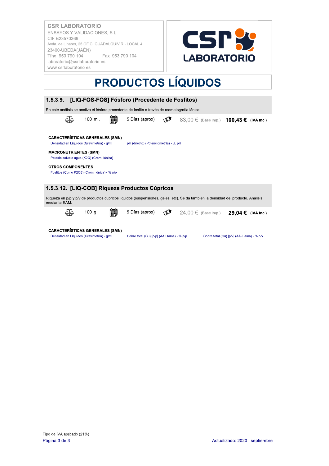

# **PRODUCTOS LÍQUIDOS**

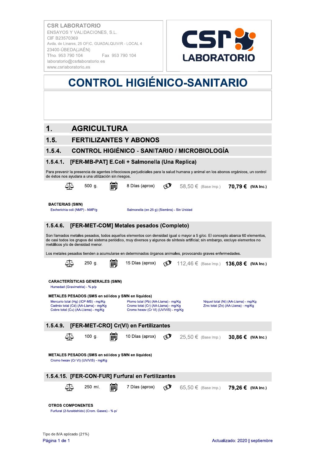

## **CONTROL HIGIÉNICO-SANITARIO**

### $1.$ **AGRICULTURA**

### $1.5.$ **FERTILIZANTES Y ABONOS**

### **CONTROL HIGIÉNICO - SANITARIO / MICROBIOLOGÍA**  $1.5.4.$

#### $1.5.4.1.$ [FER-MB-PAT] E.Coli + Salmonella (Una Replica)

|          |                                                          | de éstos nos ayudara a una utilización sin riesgos.                                                                                                           | Para prevenir la presencia de agentes infecciosos perjudiciales para la salud humana y animal en los abonos orgánicos, un control                                                                                                                                |                |                                          |                                                                            |  |
|----------|----------------------------------------------------------|---------------------------------------------------------------------------------------------------------------------------------------------------------------|------------------------------------------------------------------------------------------------------------------------------------------------------------------------------------------------------------------------------------------------------------------|----------------|------------------------------------------|----------------------------------------------------------------------------|--|
|          |                                                          | $500$ g.                                                                                                                                                      | 8 Días (aprox)                                                                                                                                                                                                                                                   | $\circledcirc$ | 58,50 € (Base Imp.) 70,79 € (IVA Inc.)   |                                                                            |  |
|          | <b>BACTERIAS (SMN)</b><br>Escherichia coli (NMP) - NMP/g |                                                                                                                                                               | Salmonella (en 25 g) (Siembra) - Sin Unidad                                                                                                                                                                                                                      |                |                                          |                                                                            |  |
| 1.5.4.6. |                                                          |                                                                                                                                                               | [FER-MET-COM] Metales pesados (Completo)                                                                                                                                                                                                                         |                |                                          |                                                                            |  |
|          |                                                          | metálicos y/o de densidad menor.                                                                                                                              | Son llamados metales pesados, todos aquellos elementos con densidad igual o mayor a 5 g/cc. El concepto abarca 60 elementos,<br>de casi todos los grupos del sistema periódico, muy diversos y algunos de síntesis artificial; sin embargo, excluye elementos no |                |                                          |                                                                            |  |
|          |                                                          |                                                                                                                                                               | Los metales pesados tienden a acumularse en determinados órganos animales, provocando graves enfermedades.                                                                                                                                                       |                |                                          |                                                                            |  |
|          |                                                          | 250 g.                                                                                                                                                        | 15 Días (aprox)                                                                                                                                                                                                                                                  | Ø              | 112,46 € (Base Imp.) 136,08 € (IVA Inc.) |                                                                            |  |
|          | Humedad (Gravimetria) - % p/p                            | <b>CARACTERÍSTICAS GENERALES (SMN)</b><br>Mercurio total (Hg) (ICP-MS) - mg/Kg<br>Cadmio total (Cd) (AA-Llama) - mg/Kg<br>Cobre total (Cu) (AA-Llama) - mg/Kg | METALES PESADOS (SMS en sólidos y SMN en líquidos)<br>Plomo total (Pb) (AA-Llama) - mg/Kg<br>Cromo total (Cr) (AA-Llama) - mg/Kg<br>Cromo hexav (Cr VI) (UV/VIS) - mg/Kg                                                                                         |                |                                          | Niquel total (Ni) (AA-Llama) - mg/Kg<br>Zinc total (Zn) (AA-Llama) - mg/Kg |  |
| 1.5.4.9. |                                                          |                                                                                                                                                               |                                                                                                                                                                                                                                                                  |                |                                          |                                                                            |  |
|          |                                                          |                                                                                                                                                               | [FER-MET-CRO] Cr(VI) en Fertilizantes                                                                                                                                                                                                                            |                |                                          |                                                                            |  |
|          |                                                          | 100 $q.$                                                                                                                                                      | 10 Días (aprox)<br>METALES PESADOS (SMS en sólidos y SMN en líquidos)                                                                                                                                                                                            | لأعج           | $25,50 €$ (Base Imp.)                    | 30,86 € (IVA Inc.)                                                         |  |
|          |                                                          | Cromo hexav (Cr VI) (UV/VIS) - mg/Kg                                                                                                                          |                                                                                                                                                                                                                                                                  |                |                                          |                                                                            |  |
|          |                                                          |                                                                                                                                                               | 1.5.4.15. [FER-CON-FUR] Furfural en Fertilizantes                                                                                                                                                                                                                |                |                                          |                                                                            |  |
|          |                                                          | 250 ml.                                                                                                                                                       | 7 Días (aprox)                                                                                                                                                                                                                                                   | $\odot$        | 65,50 € (Base Imp.) 79,26 € (IVA Inc.)   |                                                                            |  |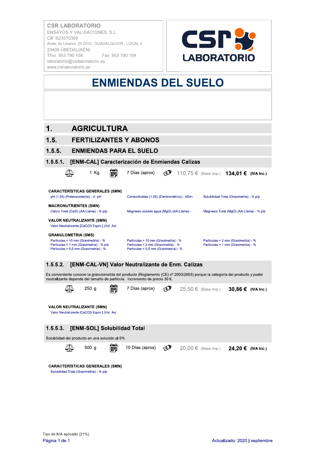**KATORIO** ENSAYOS Y VALIDACIONES, S.L.<br>CIF B23570369 CSR LABORATORIO<br>
ENSAYOS Y VALIDACIONES, S.L.<br>
CIF B23570369<br>
Avda. de Linares, 25 OFIC. GUADALQUIVIR - LOCAL 4<br>
23400-ÚBEDA(JAÉN)<br>
Tíno. 953 790 104 Fax 953 790 104<br>
Iaboratorio@csrlaboratorio.es<br>
www.csrlaboratorio.es<br>
W



# ENMIENDAS DEL SUELO

### 1. AGRICULTURA

### 1.5. FERTILIZANTES Y ABONOS

#### $1.5.5.$ **ENMIENDAS PARA EL SUELO**

#### $1.5.5.1.$ [ENM-CAL] Caracterización de Enmiendas Calizas

|                              | 1 Kg.                                                                                                                    | m | 7 Días (aprox)                                                                                                                                                                                            | <b>E</b>   |  | 110,75 € (Base Imp.) 134,01 € (IVA Inc.)                                   |  |
|------------------------------|--------------------------------------------------------------------------------------------------------------------------|---|-----------------------------------------------------------------------------------------------------------------------------------------------------------------------------------------------------------|------------|--|----------------------------------------------------------------------------|--|
|                              |                                                                                                                          |   |                                                                                                                                                                                                           |            |  |                                                                            |  |
|                              | <b>CARACTERÍSTICAS GENERALES (SMN)</b>                                                                                   |   |                                                                                                                                                                                                           |            |  |                                                                            |  |
|                              | pH (1:25) (Potenciometría) - U. pH                                                                                       |   | Conductividad (1:25) (Electrométrico) - dS/m                                                                                                                                                              |            |  | Solubilidad Total (Gravimetria) - % p/p                                    |  |
| <b>MACRONUTRIENTES (SMN)</b> | Calcio Total (CaO) (AA-Llama) - % p/p                                                                                    |   | Magnesio soluble agua (MgO) (AA-Llama) -                                                                                                                                                                  |            |  | Magnesio Total (MgO) (AA-Llama) - % p/p                                    |  |
|                              | <b>VALOR NEUTRALIZANTE (SMN)</b><br>Valor Neutralizante [CaCO3 Equiv.] (Vol. Aci                                         |   |                                                                                                                                                                                                           |            |  |                                                                            |  |
| <b>GRANULOMETRIA (SMS)</b>   |                                                                                                                          |   |                                                                                                                                                                                                           |            |  |                                                                            |  |
|                              | Particulas < 10 mm (Gravimetria) - %<br>Particulas < 1 mm (Gravimetria) - % p/p<br>Particulas > 0,5 mm (Gravimetria) - % |   | Particulas > 10 mm (Gravimetria) - %<br>Particulas < 2 mm (Gravimetria) - %<br>Particulas < 0,5 mm (Gravimetria) - %                                                                                      |            |  | Particulas > 2 mm (Gravimetria) - %<br>Particulas > 1 mm (Gravimetria) - % |  |
| 1.5.5.2.                     |                                                                                                                          |   | [ENM-CAL-VN] Valor Neutralizante de Enm. Calizas                                                                                                                                                          |            |  |                                                                            |  |
|                              |                                                                                                                          |   |                                                                                                                                                                                                           |            |  |                                                                            |  |
|                              |                                                                                                                          |   | Es conveniente conocer la granulometría del producto (Reglamento (CE) nº 2003/2003) porque la categoría del producto y poder<br>neutralizante depende del tamaño de partícula. Incremento de precio 30 €. |            |  |                                                                            |  |
|                              | 250 g.                                                                                                                   |   | 7 Días (aprox)                                                                                                                                                                                            | $\bigcirc$ |  | $25,50 \in$ (Base Imp.) 30,86 € (IVA Inc.)                                 |  |
|                              | <b>VALOR NEUTRALIZANTE (SMN)</b><br>Valor Neutralizante [CaCO3 Equiv.] (Vol. Aci                                         |   |                                                                                                                                                                                                           |            |  |                                                                            |  |
|                              |                                                                                                                          |   |                                                                                                                                                                                                           |            |  |                                                                            |  |
| 1.5.5.3.                     | [ENM-SOL] Solubilidad Total                                                                                              |   |                                                                                                                                                                                                           |            |  |                                                                            |  |
|                              | Solubilidad del producto en una solución al 5%                                                                           |   |                                                                                                                                                                                                           |            |  |                                                                            |  |
|                              | 500 g.                                                                                                                   | m | 10 Días (aprox)                                                                                                                                                                                           | $\bigcirc$ |  | 20,00 € (Base Imp.) <b>24,20 € (IVA Inc.)</b>                              |  |
|                              | <b>CARACTERISTICAS GENERALES (SMN)</b><br>Solubilidad Total (Gravimetria) - % p/p                                        |   |                                                                                                                                                                                                           |            |  |                                                                            |  |
|                              |                                                                                                                          |   |                                                                                                                                                                                                           |            |  |                                                                            |  |
|                              |                                                                                                                          |   |                                                                                                                                                                                                           |            |  |                                                                            |  |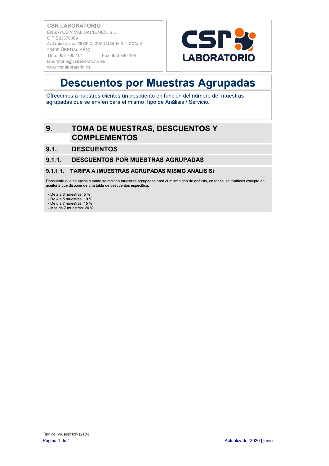

### **Descuentos por Muestras Agrupadas**

Ofrecemos a nuestros clientes un descuento en función del número de muestras agrupadas que se envíen para el mismo Tipo de Análisis / Servicio.

### TOMA DE MUESTRAS, DESCUENTOS Y  $9.$ **COMPLEMENTOS**

 $9.1$ **DESCUENTOS** 

#### $9.1.1.$ **DESCUENTOS POR MUESTRAS AGRUPADAS**

#### $9.1.1.1.$ TARIFA A (MUESTRAS AGRUPADAS MISMO ANÁLISIS)

Descuento que se aplica cuando se reciben muestras agrupadas para el mismo tipo de análisis, en todas las matrices excepto en aceituna que dispone de una tabla de descuentos específica.

- De 2 a 3 muestras:  $5%$ 

- De  $4a5$  muestras: 10 %

- De 6 a 7 muestras: 15 %

- Más de 7 muestras: 20 %